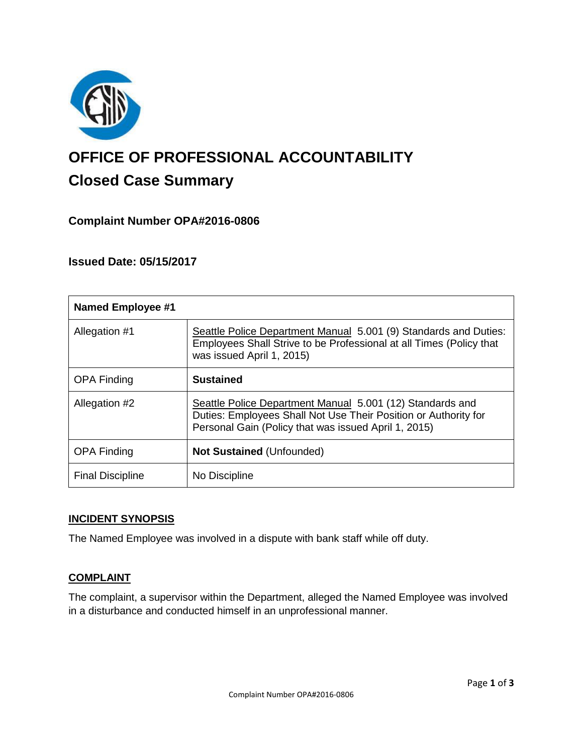

# **OFFICE OF PROFESSIONAL ACCOUNTABILITY Closed Case Summary**

## **Complaint Number OPA#2016-0806**

## **Issued Date: 05/15/2017**

| <b>Named Employee #1</b> |                                                                                                                                                                                      |
|--------------------------|--------------------------------------------------------------------------------------------------------------------------------------------------------------------------------------|
| Allegation #1            | Seattle Police Department Manual 5.001 (9) Standards and Duties:<br>Employees Shall Strive to be Professional at all Times (Policy that<br>was issued April 1, 2015)                 |
| <b>OPA Finding</b>       | <b>Sustained</b>                                                                                                                                                                     |
| Allegation #2            | Seattle Police Department Manual 5.001 (12) Standards and<br>Duties: Employees Shall Not Use Their Position or Authority for<br>Personal Gain (Policy that was issued April 1, 2015) |
| <b>OPA Finding</b>       | <b>Not Sustained (Unfounded)</b>                                                                                                                                                     |
| <b>Final Discipline</b>  | No Discipline                                                                                                                                                                        |

#### **INCIDENT SYNOPSIS**

The Named Employee was involved in a dispute with bank staff while off duty.

## **COMPLAINT**

The complaint, a supervisor within the Department, alleged the Named Employee was involved in a disturbance and conducted himself in an unprofessional manner.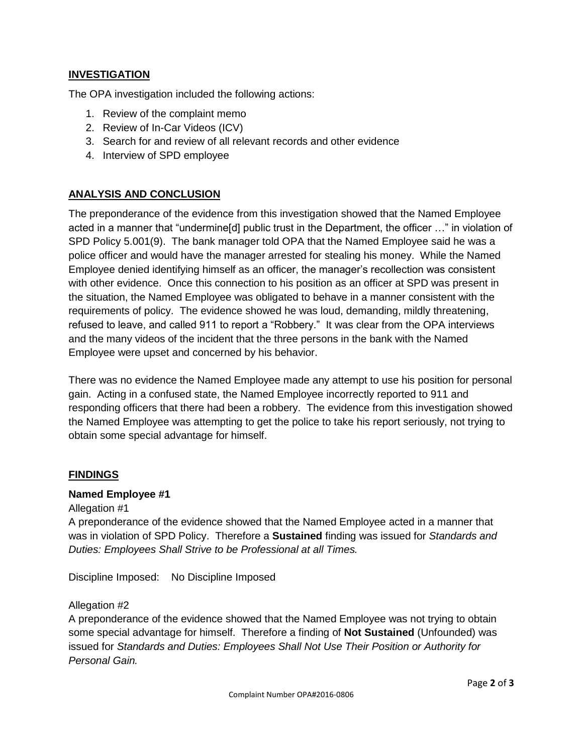## **INVESTIGATION**

The OPA investigation included the following actions:

- 1. Review of the complaint memo
- 2. Review of In-Car Videos (ICV)
- 3. Search for and review of all relevant records and other evidence
- 4. Interview of SPD employee

## **ANALYSIS AND CONCLUSION**

The preponderance of the evidence from this investigation showed that the Named Employee acted in a manner that "undermine[d] public trust in the Department, the officer …" in violation of SPD Policy 5.001(9). The bank manager told OPA that the Named Employee said he was a police officer and would have the manager arrested for stealing his money. While the Named Employee denied identifying himself as an officer, the manager's recollection was consistent with other evidence. Once this connection to his position as an officer at SPD was present in the situation, the Named Employee was obligated to behave in a manner consistent with the requirements of policy. The evidence showed he was loud, demanding, mildly threatening, refused to leave, and called 911 to report a "Robbery." It was clear from the OPA interviews and the many videos of the incident that the three persons in the bank with the Named Employee were upset and concerned by his behavior.

There was no evidence the Named Employee made any attempt to use his position for personal gain. Acting in a confused state, the Named Employee incorrectly reported to 911 and responding officers that there had been a robbery. The evidence from this investigation showed the Named Employee was attempting to get the police to take his report seriously, not trying to obtain some special advantage for himself.

#### **FINDINGS**

#### **Named Employee #1**

#### Allegation #1

A preponderance of the evidence showed that the Named Employee acted in a manner that was in violation of SPD Policy. Therefore a **Sustained** finding was issued for *Standards and Duties: Employees Shall Strive to be Professional at all Times.*

Discipline Imposed: No Discipline Imposed

#### Allegation #2

A preponderance of the evidence showed that the Named Employee was not trying to obtain some special advantage for himself. Therefore a finding of **Not Sustained** (Unfounded) was issued for *Standards and Duties: Employees Shall Not Use Their Position or Authority for Personal Gain.*